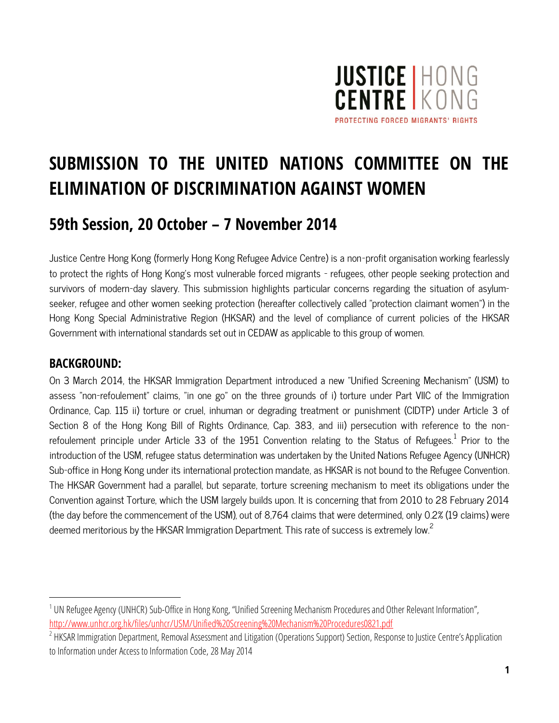

# **SUBMISSION TO THE UNITED NATIONS COMMITTEE ON THE ELIMINATION OF DISCRIMINATION AGAINST WOMEN**

# **59th Session, 20 October – 7 November 2014**

Justice Centre Hong Kong (formerly Hong Kong Refugee Advice Centre) is a non-profit organisation working fearlessly to protect the rights of Hong Kong's most vulnerable forced migrants – refugees, other people seeking protection and survivors of modern-day slavery. This submission highlights particular concerns regarding the situation of asylumseeker, refugee and other women seeking protection (hereafter collectively called "protection claimant women") in the Hong Kong Special Administrative Region (HKSAR) and the level of compliance of current policies of the HKSAR Government with international standards set out in CEDAW as applicable to this group of women.

#### **BACKGROUND:**

 $\overline{a}$ 

On 3 March 2014, the HKSAR Immigration Department introduced a new "Unified Screening Mechanism" (USM) to assess "non-refoulement" claims, "in one go" on the three grounds of i) torture under Part VIIC of the Immigration Ordinance, Cap. 115 ii) torture or cruel, inhuman or degrading treatment or punishment (CIDTP) under Article 3 of Section 8 of the Hong Kong Bill of Rights Ordinance, Cap. 383, and iii) persecution with reference to the nonrefoulement principle under Article 33 of the 1951 Convention relating to the Status of Refugees. $^{\rm 1}$  Prior to the introduction of the USM, refugee status determination was undertaken by the United Nations Refugee Agency (UNHCR) Sub-office in Hong Kong under its international protection mandate, as HKSAR is not bound to the Refugee Convention. The HKSAR Government had a parallel, but separate, torture screening mechanism to meet its obligations under the Convention against Torture, which the USM largely builds upon. It is concerning that from 2010 to 28 February 2014 (the day before the commencement of the USM), out of 8,764 claims that were determined, only 0.2% (19 claims) were deemed meritorious by the HKSAR Immigration Department. This rate of success is extremely low.<sup>2</sup>

<sup>&</sup>lt;sup>1</sup> UN Refugee Agency (UNHCR) Sub-Office in Hong Kong, "Unified Screening Mechanism Procedures and Other Relevant Information", <http://www.unhcr.org.hk/files/unhcr/USM/Unified%20Screening%20Mechanism%20Procedures0821.pdf>

 $^2$  HKSAR Immigration Department, Removal Assessment and Litigation (Operations Support) Section, Response to Justice Centre's Application to Information under Access to Information Code, 28 May 2014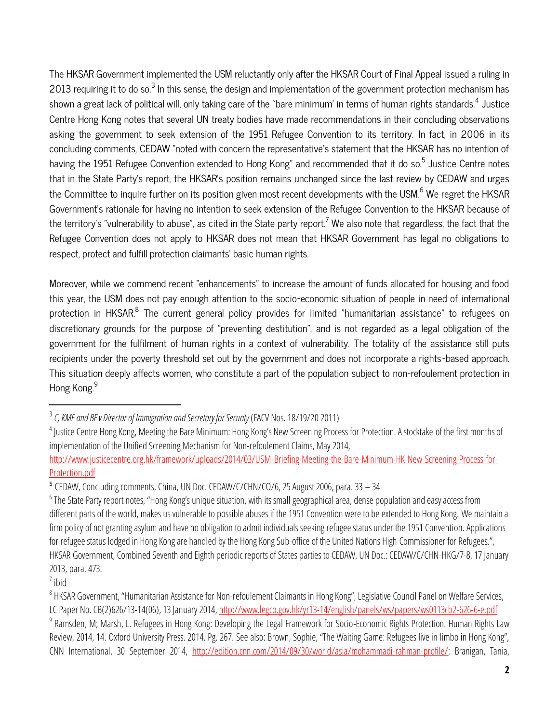The HKSAR Government implemented the USM reluctantly only after the HKSAR Court of Final Appeal issued a ruling in 2013 requiring it to do so. $^3$  In this sense, the design and implementation of the government protection mechanism has shown a great lack of political will, only taking care of the `bare minimum' in terms of human rights standards. $^4$  Justice Centre Hong Kong notes that several UN treaty bodies have made recommendations in their concluding observations asking the government to seek extension of the 1951 Refugee Convention to its territory. In fact, in 2006 in its concluding comments, CEDAW "noted with concern the representative's statement that the HKSAR has no intention of having the 1951 Refugee Convention extended to Hong Kong" and recommended that it do so.<sup>5</sup> Justice Centre notes that in the State Party's report, the HKSAR's position remains unchanged since the last review by CEDAW and urges the Committee to inquire further on its position given most recent developments with the USM.<sup>6</sup> We regret the HKSAR Government's rationale for having no intention to seek extension of the Refugee Convention to the HKSAR because of the territory's "vulnerability to abuse", as cited in the State party report.<sup>7</sup> We also note that regardless, the fact that the Refugee Convention does not apply to HKSAR does not mean that HKSAR Government has legal no obligations to respect, protect and fulfill protection claimants' basic human rights.

Moreover, while we commend recent "enhancements" to increase the amount of funds allocated for housing and food this year, the USM does not pay enough attention to the socio-economic situation of people in need of international protection in HKSAR.<sup>8</sup> The current general policy provides for limited "humanitarian assistance" to refugees on discretionary grounds for the purpose of "preventing destitution", and is not regarded as a legal obligation of the government for the fulfilment of human rights in a context of vulnerability. The totality of the assistance still puts recipients under the poverty threshold set out by the government and does not incorporate a rights-based approach. This situation deeply affects women, who constitute a part of the population subject to non-refoulement protection in Hong Kong.<sup>9</sup>

7 ibid

 $\overline{\phantom{a}}$ 

<sup>&</sup>lt;sup>3</sup> C, KMF and BF v Director of Immigration and Secretary for Security (FACV Nos. 18/19/20 2011)

<sup>&</sup>lt;sup>4</sup> Justice Centre Hong Kong, Meeting the Bare Minimum: Hong Kong's New Screening Process for Protection. A stocktake of the first months of implementation of the Unified Screening Mechanism for Non-refoulement Claims, May 2014,

[http://www.justicecentre.org.hk/framework/uploads/2014/03/USM-Briefing-Meeting-the-Bare-Minimum-HK-New-Screening-Process-for-](http://www.justicecentre.org.hk/framework/uploads/2014/03/USM-Briefing-Meeting-the-Bare-Minimum-HK-New-Screening-Process-for-Protection.pdf)[Protection.pdf](http://www.justicecentre.org.hk/framework/uploads/2014/03/USM-Briefing-Meeting-the-Bare-Minimum-HK-New-Screening-Process-for-Protection.pdf)

<sup>&</sup>lt;sup>5</sup> CEDAW, Concluding comments, China, UN Doc. CEDAW/C/CHN/CO/6, 25 August 2006, para. 33 – 34

<sup>&</sup>lt;sup>6</sup> The State Party report notes, "Hong Kong's unique situation, with its small geographical area, dense population and easy access from different parts of the world, makes us vulnerable to possible abuses if the 1951 Convention were to be extended to Hong Kong. We maintain a firm policy of not granting asylum and have no obligation to admit individuals seeking refugee status under the 1951 Convention. Applications for refugee status lodged in Hong Kong are handled by the Hong Kong Sub-office of the United Nations High Commissioner for Refugees.", HKSAR Government, Combined Seventh and Eighth periodic reports of States parties to CEDAW, UN Doc.: CEDAW/C/CHN-HKG/7-8, 17 January 2013, para. 473.

<sup>&</sup>lt;sup>8</sup> HKSAR Government, "Humanitarian Assistance for Non-refoulement Claimants in Hong Kong", Legislative Council Panel on Welfare Services, LC Paper No. CB(2)626/13-14(06), 13 January 2014[, http://www.legco.gov.hk/yr13-14/english/panels/ws/papers/ws0113cb2-626-6-e.pdf](http://www.legco.gov.hk/yr13-14/english/panels/ws/papers/ws0113cb2-626-6-e.pdf)

<sup>&</sup>lt;sup>9</sup> Ramsden, M; Marsh, L. Refugees in Hong Kong: Developing the Legal Framework for Socio-Economic Rights Protection. Human Rights Law Review, 2014, 14. Oxford University Press. 2014. Pg. 267. See also: Brown, Sophie, "The Waiting Game: Refugees live in limbo in Hong Kong", CNN International, 30 September 2014, [http://edition.cnn.com/2014/09/30/world/asia/mohammadi-rahman-profile/;](http://edition.cnn.com/2014/09/30/world/asia/mohammadi-rahman-profile/) Branigan, Tania,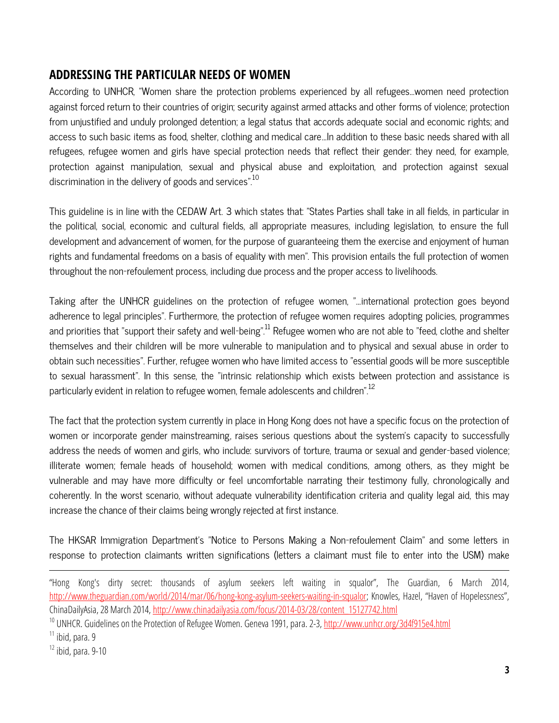# **ADDRESSING THE PARTICULAR NEEDS OF WOMEN**

According to UNHCR, "Women share the protection problems experienced by all refugees…women need protection against forced return to their countries of origin; security against armed attacks and other forms of violence; protection from unjustified and unduly prolonged detention; a legal status that accords adequate social and economic rights; and access to such basic items as food, shelter, clothing and medical care…In addition to these basic needs shared with all refugees, refugee women and girls have special protection needs that reflect their gender: they need, for example, protection against manipulation, sexual and physical abuse and exploitation, and protection against sexual discrimination in the delivery of goods and services".<sup>10</sup>

This guideline is in line with the CEDAW Art. 3 which states that: "States Parties shall take in all fields, in particular in the political, social, economic and cultural fields, all appropriate measures, including legislation, to ensure the full development and advancement of women, for the purpose of guaranteeing them the exercise and enjoyment of human rights and fundamental freedoms on a basis of equality with men". This provision entails the full protection of women throughout the non-refoulement process, including due process and the proper access to livelihoods.

Taking after the UNHCR guidelines on the protection of refugee women, "…international protection goes beyond adherence to legal principles". Furthermore, the protection of refugee women requires adopting policies, programmes and priorities that "support their safety and well-being". $^{11}$  Refugee women who are not able to "feed, clothe and shelter themselves and their children will be more vulnerable to manipulation and to physical and sexual abuse in order to obtain such necessities". Further, refugee women who have limited access to "essential goods will be more susceptible to sexual harassment". In this sense, the "intrinsic relationship which exists between protection and assistance is particularly evident in relation to refugee women, female adolescents and children".<sup>12</sup>

The fact that the protection system currently in place in Hong Kong does not have a specific focus on the protection of women or incorporate gender mainstreaming, raises serious questions about the system's capacity to successfully address the needs of women and girls, who include: survivors of torture, trauma or sexual and gender-based violence; illiterate women; female heads of household; women with medical conditions, among others, as they might be vulnerable and may have more difficulty or feel uncomfortable narrating their testimony fully, chronologically and coherently. In the worst scenario, without adequate vulnerability identification criteria and quality legal aid, this may increase the chance of their claims being wrongly rejected at first instance.

The HKSAR Immigration Department's "Notice to Persons Making a Non-refoulement Claim" and some letters in response to protection claimants written significations (letters a claimant must file to enter into the USM) make

 $\overline{a}$ 

<sup>&</sup>quot;Hong Kong's dirty secret: thousands of asylum seekers left waiting in squalor", The Guardian, 6 March 2014, <http://www.theguardian.com/world/2014/mar/06/hong-kong-asylum-seekers-waiting-in-squalor>; Knowles, Hazel, "Haven of Hopelessness", ChinaDailyAsia, 28 March 2014[, http://www.chinadailyasia.com/focus/2014-03/28/content\\_15127742.html](http://www.chinadailyasia.com/focus/2014-03/28/content_15127742.html)

<sup>&</sup>lt;sup>10</sup> UNHCR. Guidelines on the Protection of Refugee Women. Geneva 1991, para. 2-3[, http://www.unhcr.org/3d4f915e4.html](http://www.unhcr.org/3d4f915e4.html)

 $11$  ibid, para. 9

 $12$  ibid, para. 9-10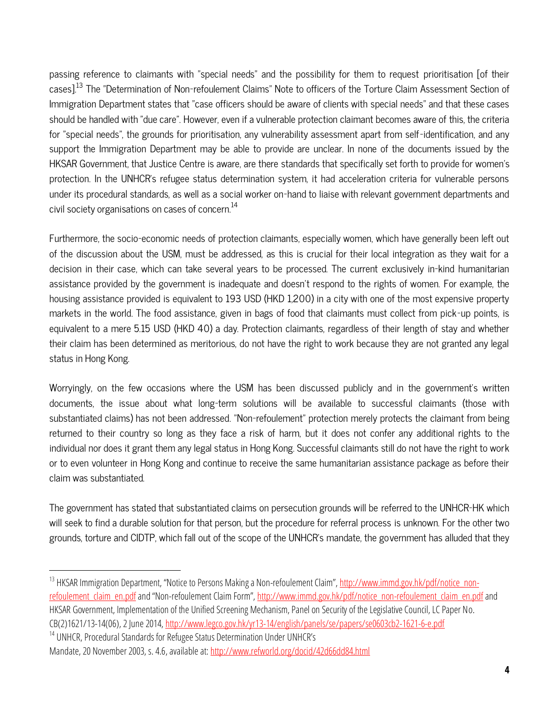passing reference to claimants with "special needs" and the possibility for them to request prioritisation [of their cases].<sup>13</sup> The "Determination of Non-refoulement Claims" Note to officers of the Torture Claim Assessment Section of Immigration Department states that "case officers should be aware of clients with special needs" and that these cases should be handled with "due care". However, even if a vulnerable protection claimant becomes aware of this, the criteria for "special needs", the grounds for prioritisation, any vulnerability assessment apart from self-identification, and any support the Immigration Department may be able to provide are unclear. In none of the documents issued by the HKSAR Government, that Justice Centre is aware, are there standards that specifically set forth to provide for women's protection. In the UNHCR's refugee status determination system, it had acceleration criteria for vulnerable persons under its procedural standards, as well as a social worker on-hand to liaise with relevant government departments and civil society organisations on cases of concern.<sup>14</sup>

Furthermore, the socio-economic needs of protection claimants, especially women, which have generally been left out of the discussion about the USM, must be addressed, as this is crucial for their local integration as they wait for a decision in their case, which can take several years to be processed. The current exclusively in-kind humanitarian assistance provided by the government is inadequate and doesn't respond to the rights of women. For example, the housing assistance provided is equivalent to 193 USD (HKD 1,200) in a city with one of the most expensive property markets in the world. The food assistance, given in bags of food that claimants must collect from pick-up points, is equivalent to a mere 5.15 USD (HKD 40) a day. Protection claimants, regardless of their length of stay and whether their claim has been determined as meritorious, do not have the right to work because they are not granted any legal status in Hong Kong.

Worryingly, on the few occasions where the USM has been discussed publicly and in the government's written documents, the issue about what long-term solutions will be available to successful claimants (those with substantiated claims) has not been addressed. "Non-refoulement" protection merely protects the claimant from being returned to their country so long as they face a risk of harm, but it does not confer any additional rights to the individual nor does it grant them any legal status in Hong Kong. Successful claimants still do not have the right to work or to even volunteer in Hong Kong and continue to receive the same humanitarian assistance package as before their claim was substantiated.

The government has stated that substantiated claims on persecution grounds will be referred to the UNHCR-HK which will seek to find a durable solution for that person, but the procedure for referral process is unknown. For the other two grounds, torture and CIDTP, which fall out of the scope of the UNHCR's mandate, the government has alluded that they

 $\overline{a}$ 

<sup>&</sup>lt;sup>13</sup> HKSAR Immigration Department, "Notice to Persons Making a Non-refoulement Claim", [http://www.immd.gov.hk/pdf/notice\\_non](http://www.immd.gov.hk/pdf/notice_non-refoulement_claim_en.pdf)refoulement claim\_en.pdf and "Non-refoulement Claim Form", http://www.immd.gov.hk/pdf/notice\_non-[refoulement\\_claim\\_en.pdf](http://www.immd.gov.hk/pdf/notice_non-refoulement_claim_en.pdf) and HKSAR Government, Implementation of the Unified Screening Mechanism, Panel on Security of the Legislative Council, LC Paper No. CB(2)1621/13-14(06), 2 June 2014[, http://www.legco.gov.hk/yr13-14/english/panels/se/papers/se0603cb2-1621-6-e.pdf](http://www.legco.gov.hk/yr13-14/english/panels/se/papers/se0603cb2-1621-6-e.pdf)

<sup>&</sup>lt;sup>14</sup> UNHCR, Procedural Standards for Refugee Status Determination Under UNHCR's Mandate, 20 November 2003, s. 4.6, available at[: http://www.refworld.org/docid/42d66dd84.html](http://www.refworld.org/docid/42d66dd84.html)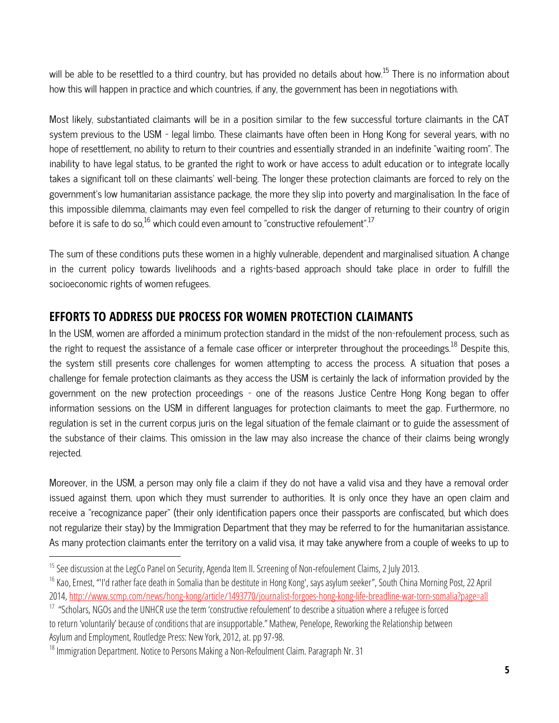will be able to be resettled to a third country, but has provided no details about how.<sup>15</sup> There is no information about how this will happen in practice and which countries, if any, the government has been in negotiations with.

Most likely, substantiated claimants will be in a position similar to the few successful torture claimants in the CAT system previous to the USM – legal limbo. These claimants have often been in Hong Kong for several years, with no hope of resettlement, no ability to return to their countries and essentially stranded in an indefinite "waiting room". The inability to have legal status, to be granted the right to work or have access to adult education or to integrate locally takes a significant toll on these claimants' well-being. The longer these protection claimants are forced to rely on the government's low humanitarian assistance package, the more they slip into poverty and marginalisation. In the face of this impossible dilemma, claimants may even feel compelled to risk the danger of returning to their country of origin before it is safe to do so, $^{16}$  which could even amount to "constructive refoulement".<sup>17</sup>

The sum of these conditions puts these women in a highly vulnerable, dependent and marginalised situation. A change in the current policy towards livelihoods and a rights-based approach should take place in order to fulfill the socioeconomic rights of women refugees.

#### **EFFORTS TO ADDRESS DUE PROCESS FOR WOMEN PROTECTION CLAIMANTS**

In the USM, women are afforded a minimum protection standard in the midst of the non-refoulement process, such as the right to request the assistance of a female case officer or interpreter throughout the proceedings.<sup>18</sup> Despite this, the system still presents core challenges for women attempting to access the process. A situation that poses a challenge for female protection claimants as they access the USM is certainly the lack of information provided by the government on the new protection proceedings – one of the reasons Justice Centre Hong Kong began to offer information sessions on the USM in different languages for protection claimants to meet the gap. Furthermore, no regulation is set in the current corpus juris on the legal situation of the female claimant or to guide the assessment of the substance of their claims. This omission in the law may also increase the chance of their claims being wrongly rejected.

Moreover, in the USM, a person may only file a claim if they do not have a valid visa and they have a removal order issued against them, upon which they must surrender to authorities. It is only once they have an open claim and receive a "recognizance paper" (their only identification papers once their passports are confiscated, but which does not regularize their stay) by the Immigration Department that they may be referred to for the humanitarian assistance. As many protection claimants enter the territory on a valid visa, it may take anywhere from a couple of weeks to up to

 $\overline{\phantom{a}}$ 

<sup>&</sup>lt;sup>15</sup> See discussion at the LegCo Panel on Security, Agenda Item II. Screening of Non-refoulement Claims, 2 July 2013.

<sup>&</sup>lt;sup>16</sup> Kao, Ernest, "'I'd rather face death in Somalia than be destitute in Hong Kong', says asylum seeker", South China Morning Post, 22 April 2014,<http://www.scmp.com/news/hong-kong/article/1493770/journalist-forgoes-hong-kong-life-breadline-war-torn-somalia?page=all>

<sup>&</sup>lt;sup>17</sup> "Scholars, NGOs and the UNHCR use the term 'constructive refoulement' to describe a situation where a refugee is forced to return 'voluntarily' because of conditions that are insupportable." Mathew, Penelope, Reworking the Relationship between Asylum and Employment, Routledge Press: New York, 2012, at. pp 97-98.

<sup>&</sup>lt;sup>18</sup> Immigration Department. Notice to Persons Making a Non-Refoulment Claim. Paragraph Nr. 31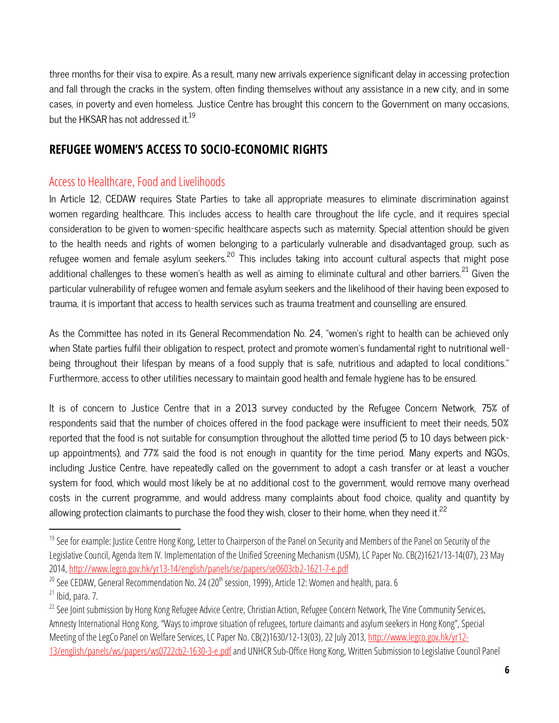three months for their visa to expire. As a result, many new arrivals experience significant delay in accessing protection and fall through the cracks in the system, often finding themselves without any assistance in a new city, and in some cases, in poverty and even homeless. Justice Centre has brought this concern to the Government on many occasions, but the HKSAR has not addressed it. $^{19}$ 

# **REFUGEE WOMEN'S ACCESS TO SOCIO-ECONOMIC RIGHTS**

# Access to Healthcare, Food and Livelihoods

 $\overline{\phantom{a}}$ 

In Article 12, CEDAW requires State Parties to take all appropriate measures to eliminate discrimination against women regarding healthcare. This includes access to health care throughout the life cycle, and it requires special consideration to be given to women-specific healthcare aspects such as maternity. Special attention should be given to the health needs and rights of women belonging to a particularly vulnerable and disadvantaged group, such as refugee women and female asylum seekers.<sup>20</sup> This includes taking into account cultural aspects that might pose additional challenges to these women's health as well as aiming to eliminate cultural and other barriers.<sup>21</sup> Given the particular vulnerability of refugee women and female asylum seekers and the likelihood of their having been exposed to trauma, it is important that access to health services such as trauma treatment and counselling are ensured.

As the Committee has noted in its General Recommendation No. 24, "women's right to health can be achieved only when State parties fulfil their obligation to respect, protect and promote women's fundamental right to nutritional wellbeing throughout their lifespan by means of a food supply that is safe, nutritious and adapted to local conditions." Furthermore, access to other utilities necessary to maintain good health and female hygiene has to be ensured.

It is of concern to Justice Centre that in a 2013 survey conducted by the Refugee Concern Network, 75% of respondents said that the number of choices offered in the food package were insufficient to meet their needs, 50% reported that the food is not suitable for consumption throughout the allotted time period (5 to 10 days between pickup appointments), and 77% said the food is not enough in quantity for the time period. Many experts and NGOs, including Justice Centre, have repeatedly called on the government to adopt a cash transfer or at least a voucher system for food, which would most likely be at no additional cost to the government, would remove many overhead costs in the current programme, and would address many complaints about food choice, quality and quantity by allowing protection claimants to purchase the food they wish, closer to their home, when they need it. $^{22}$ 

<sup>&</sup>lt;sup>19</sup> See for example: Justice Centre Hong Kong, Letter to Chairperson of the Panel on Security and Members of the Panel on Security of the Legislative Council, Agenda Item IV. Implementation of the Unified Screening Mechanism (USM), LC Paper No. CB(2)1621/13-14(07), 23 May 2014,<http://www.legco.gov.hk/yr13-14/english/panels/se/papers/se0603cb2-1621-7-e.pdf>

 $20$  See CEDAW, General Recommendation No. 24 (20<sup>th</sup> session, 1999), Article 12: Women and health, para. 6  $21$  Ibid, para. 7.

<sup>&</sup>lt;sup>22</sup> See Joint submission by Hong Kong Refugee Advice Centre, Christian Action, Refugee Concern Network, The Vine Community Services, Amnesty International Hong Kong, "Ways to improve situation of refugees, torture claimants and asylum seekers in Hong Kong", Special Meeting of the LegCo Panel on Welfare Services, LC Paper No. CB(2)1630/12-13(03), 22 July 2013[, http://www.legco.gov.hk/yr12-](http://www.legco.gov.hk/yr12-13/english/panels/ws/papers/ws0722cb2-1630-3-e.pdf) [13/english/panels/ws/papers/ws0722cb2-1630-3-e.pdfa](http://www.legco.gov.hk/yr12-13/english/panels/ws/papers/ws0722cb2-1630-3-e.pdf)nd UNHCR Sub-Office Hong Kong, Written Submission to Legislative Council Panel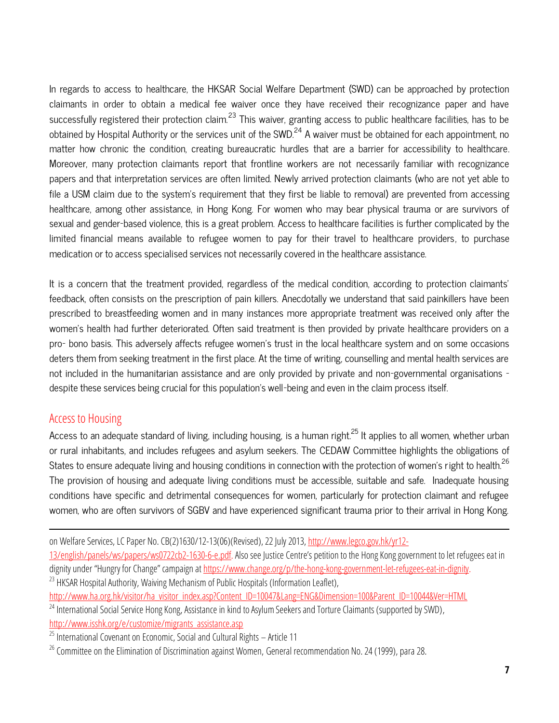In regards to access to healthcare, the HKSAR Social Welfare Department (SWD) can be approached by protection claimants in order to obtain a medical fee waiver once they have received their recognizance paper and have successfully registered their protection claim.<sup>23</sup> This waiver, granting access to public healthcare facilities, has to be obtained by Hospital Authority or the services unit of the SWD.<sup>24</sup> A waiver must be obtained for each appointment, no matter how chronic the condition, creating bureaucratic hurdles that are a barrier for accessibility to healthcare. Moreover, many protection claimants report that frontline workers are not necessarily familiar with recognizance papers and that interpretation services are often limited. Newly arrived protection claimants (who are not yet able to file a USM claim due to the system's requirement that they first be liable to removal) are prevented from accessing healthcare, among other assistance, in Hong Kong. For women who may bear physical trauma or are survivors of sexual and gender-based violence, this is a great problem. Access to healthcare facilities is further complicated by the limited financial means available to refugee women to pay for their travel to healthcare providers, to purchase medication or to access specialised services not necessarily covered in the healthcare assistance.

It is a concern that the treatment provided, regardless of the medical condition, according to protection claimants' feedback, often consists on the prescription of pain killers. Anecdotally we understand that said painkillers have been prescribed to breastfeeding women and in many instances more appropriate treatment was received only after the women's health had further deteriorated. Often said treatment is then provided by private healthcare providers on a pro- bono basis. This adversely affects refugee women's trust in the local healthcare system and on some occasions deters them from seeking treatment in the first place. At the time of writing, counselling and mental health services are not included in the humanitarian assistance and are only provided by private and non-governmental organisations – despite these services being crucial for this population's well-being and even in the claim process itself.

#### Access to Housing

 $\overline{\phantom{a}}$ 

Access to an adequate standard of living, including housing, is a human right.<sup>25</sup> It applies to all women, whether urban or rural inhabitants, and includes refugees and asylum seekers. The CEDAW Committee highlights the obligations of States to ensure adequate living and housing conditions in connection with the protection of women's right to health.<sup>26</sup> The provision of housing and adequate living conditions must be accessible, suitable and safe. Inadequate housing conditions have specific and detrimental consequences for women, particularly for protection claimant and refugee women, who are often survivors of SGBV and have experienced significant trauma prior to their arrival in Hong Kong.

on Welfare Services, LC Paper No. CB(2)1630/12-13(06)(Revised), 22 July 2013[, http://www.legco.gov.hk/yr12-](http://www.legco.gov.hk/yr12-13/english/panels/ws/papers/ws0722cb2-1630-6-e.pdf)

<sup>23</sup> HKSAR Hospital Authority, Waiving Mechanism of Public Hospitals (Information Leaflet),

[http://www.ha.org.hk/visitor/ha\\_visitor\\_index.asp?Content\\_ID=10047&Lang=ENG&Dimension=100&Parent\\_ID=10044&Ver=HTML](http://www.ha.org.hk/visitor/ha_visitor_index.asp?Content_ID=10047&Lang=ENG&Dimension=100&Parent_ID=10044&Ver=HTML)

[<sup>13/</sup>english/panels/ws/papers/ws0722cb2-1630-6-e.pdf.](http://www.legco.gov.hk/yr12-13/english/panels/ws/papers/ws0722cb2-1630-6-e.pdf)Also see Justice Centre's petition to the Hong Kong government to let refugees eat in dignity under "Hungry for Change" campaign at [https://www.change.org/p/the-hong-kong-government-let-refugees-eat-in-dignity.](https://www.change.org/p/the-hong-kong-government-let-refugees-eat-in-dignity)

<sup>&</sup>lt;sup>24</sup> International Social Service Hong Kong, Assistance in kind to Asylum Seekers and Torture Claimants (supported by SWD), [http://www.isshk.org/e/customize/migrants\\_assistance.asp](http://www.isshk.org/e/customize/migrants_assistance.asp)

 $25$  International Covenant on Economic, Social and Cultural Rights – Article 11

<sup>&</sup>lt;sup>26</sup> Committee on the Elimination of Discrimination against Women, General recommendation No. 24 (1999), para 28.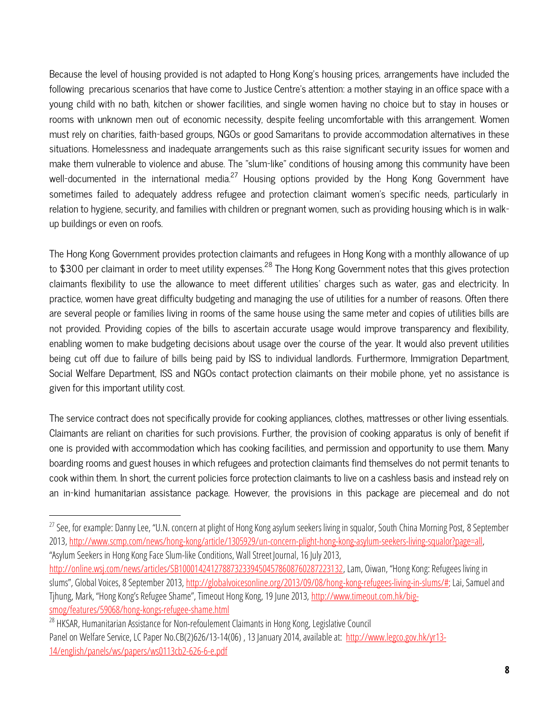Because the level of housing provided is not adapted to Hong Kong's housing prices, arrangements have included the following precarious scenarios that have come to Justice Centre's attention: a mother staying in an office space with a young child with no bath, kitchen or shower facilities, and single women having no choice but to stay in houses or rooms with unknown men out of economic necessity, despite feeling uncomfortable with this arrangement. Women must rely on charities, faith-based groups, NGOs or good Samaritans to provide accommodation alternatives in these situations. Homelessness and inadequate arrangements such as this raise significant security issues for women and make them vulnerable to violence and abuse. The "slum-like" conditions of housing among this community have been well-documented in the international media.<sup>27</sup> Housing options provided by the Hong Kong Government have sometimes failed to adequately address refugee and protection claimant women's specific needs, particularly in relation to hygiene, security, and families with children or pregnant women, such as providing housing which is in walkup buildings or even on roofs.

The Hong Kong Government provides protection claimants and refugees in Hong Kong with a monthly allowance of up to \$300 per claimant in order to meet utility expenses.<sup>28</sup> The Hong Kong Government notes that this gives protection claimants flexibility to use the allowance to meet different utilities' charges such as water, gas and electricity. In practice, women have great difficulty budgeting and managing the use of utilities for a number of reasons. Often there are several people or families living in rooms of the same house using the same meter and copies of utilities bills are not provided. Providing copies of the bills to ascertain accurate usage would improve transparency and flexibility, enabling women to make budgeting decisions about usage over the course of the year. It would also prevent utilities being cut off due to failure of bills being paid by ISS to individual landlords. Furthermore, Immigration Department, Social Welfare Department, ISS and NGOs contact protection claimants on their mobile phone, yet no assistance is given for this important utility cost.

The service contract does not specifically provide for cooking appliances, clothes, mattresses or other living essentials. Claimants are reliant on charities for such provisions. Further, the provision of cooking apparatus is only of benefit if one is provided with accommodation which has cooking facilities, and permission and opportunity to use them. Many boarding rooms and guest houses in which refugees and protection claimants find themselves do not permit tenants to cook within them. In short, the current policies force protection claimants to live on a cashless basis and instead rely on an in-kind humanitarian assistance package. However, the provisions in this package are piecemeal and do not

 $\overline{a}$ 

<sup>&</sup>lt;sup>27</sup> See, for example: Danny Lee, "U.N. concern at plight of Hong Kong asylum seekers living in squalor, South China Morning Post, 8 September 2013, [http://www.scmp.com/news/hong-kong/article/1305929/un-concern-plight-hong-kong-asylum-seekers-living-squalor?page=all,](http://www.scmp.com/news/hong-kong/article/1305929/un-concern-plight-hong-kong-asylum-seekers-living-squalor?page=all)  "Asylum Seekers in Hong Kong Face Slum-like Conditions, Wall Street Journal, 16 July 2013,

[http://online.wsj.com/news/articles/SB10001424127887323394504578608760287223132,](http://online.wsj.com/news/articles/SB10001424127887323394504578608760287223132) Lam, Oiwan, "Hong Kong: Refugees living in slums", Global Voices, 8 September 2013, [http://globalvoicesonline.org/2013/09/08/hong-kong-refugees-living-in-slums/#;](http://globalvoicesonline.org/2013/09/08/hong-kong-refugees-living-in-slums/%23) Lai, Samuel and Tihung, Mark, "Hong Kong's Refugee Shame", Timeout Hong Kong, 19 June 2013, [http://www.timeout.com.hk/big](http://www.timeout.com.hk/big-smog/features/59068/hong-kongs-refugee-shame.html)[smog/features/59068/hong-kongs-refugee-shame.html](http://www.timeout.com.hk/big-smog/features/59068/hong-kongs-refugee-shame.html)

<sup>&</sup>lt;sup>28</sup> HKSAR, Humanitarian Assistance for Non-refoulement Claimants in Hong Kong, Legislative Council Panel on Welfare Service, LC Paper No.CB(2)626/13-14(06), 13 January 2014, available at: [http://www.legco.gov.hk/yr13-](http://www.legco.gov.hk/yr13-14/english/panels/ws/papers/ws0113cb2-626-6-e.pdf) [14/english/panels/ws/papers/ws0113cb2-626-6-e.pdf](http://www.legco.gov.hk/yr13-14/english/panels/ws/papers/ws0113cb2-626-6-e.pdf)